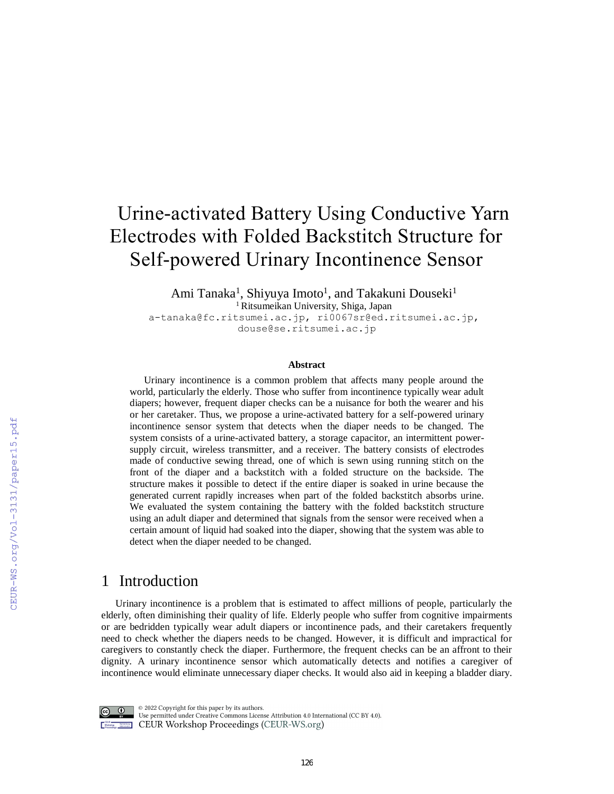# Urine-activated Battery Using Conductive Yarn Electrodes with Folded Backstitch Structure for Self-powered Urinary Incontinence Sensor

Ami Tanaka<sup>1</sup>, Shiyuya Imoto<sup>1</sup>, and Takakuni Douseki<sup>1</sup> <sup>1</sup>Ritsumeikan University, Shiga, Japan

a-tanaka@fc.ritsumei.ac.jp, ri0067sr@ed.ritsumei.ac.jp, douse@se.ritsumei.ac.jp

#### **Abstract**

Urinary incontinence is a common problem that affects many people around the world, particularly the elderly. Those who suffer from incontinence typically wear adult diapers; however, frequent diaper checks can be a nuisance for both the wearer and his or her caretaker. Thus, we propose a urine-activated battery for a self-powered urinary incontinence sensor system that detects when the diaper needs to be changed. The system consists of a urine-activated battery, a storage capacitor, an intermittent powersupply circuit, wireless transmitter, and a receiver. The battery consists of electrodes made of conductive sewing thread, one of which is sewn using running stitch on the front of the diaper and a backstitch with a folded structure on the backside. The structure makes it possible to detect if the entire diaper is soaked in urine because the generated current rapidly increases when part of the folded backstitch absorbs urine. We evaluated the system containing the battery with the folded backstitch structure using an adult diaper and determined that signals from the sensor were received when a certain amount of liquid had soaked into the diaper, showing that the system was able to detect when the diaper needed to be changed.

## 1 Introduction

Urinary incontinence is a problem that is estimated to affect millions of people, particularly the elderly, often diminishing their quality of life. Elderly people who suffer from cognitive impairments or are bedridden typically wear adult diapers or incontinence pads, and their caretakers frequently need to check whether the diapers needs to be changed. However, it is difficult and impractical for caregivers to constantly check the diaper. Furthermore, the frequent checks can be an affront to their dignity. A urinary incontinence sensor which automatically detects and notifies a caregiver of incontinence would eliminate unnecessary diaper checks. It would also aid in keeping a bladder diary.



 $\circ$  2022 Copyright for this paper by its authors. Use permitted under Creative Commons License Attribution 4.0 International (CC BY 4.0). CEUR Workshop Proceedings (CEUR-WS.org)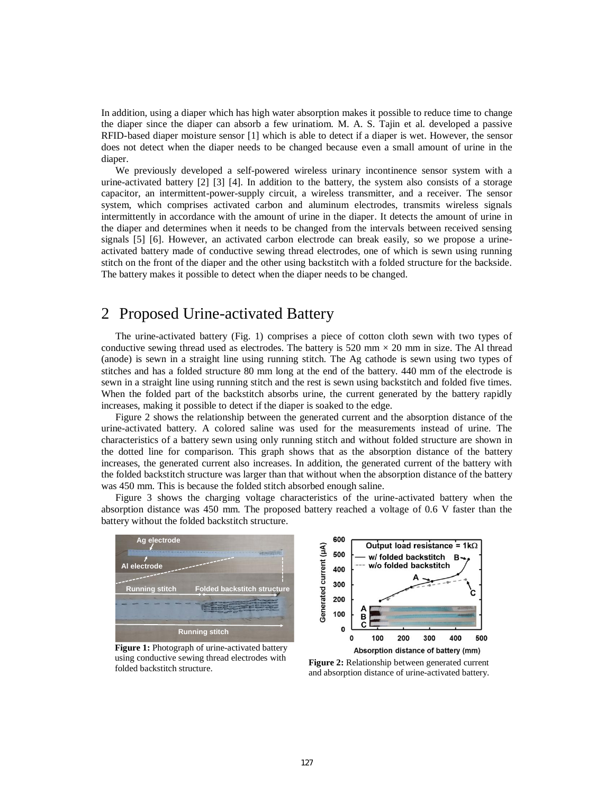In addition, using a diaper which has high water absorption makes it possible to reduce time to change the diaper since the diaper can absorb a few urinatiom. M. A. S. Tajin et al. developed a passive RFID-based diaper moisture sensor [1] which is able to detect if a diaper is wet. However, the sensor does not detect when the diaper needs to be changed because even a small amount of urine in the diaper.

We previously developed a self-powered wireless urinary incontinence sensor system with a urine-activated battery [2] [3] [4]. In addition to the battery, the system also consists of a storage capacitor, an intermittent-power-supply circuit, a wireless transmitter, and a receiver. The sensor system, which comprises activated carbon and aluminum electrodes, transmits wireless signals intermittently in accordance with the amount of urine in the diaper. It detects the amount of urine in the diaper and determines when it needs to be changed from the intervals between received sensing signals [5] [6]. However, an activated carbon electrode can break easily, so we propose a urineactivated battery made of conductive sewing thread electrodes, one of which is sewn using running stitch on the front of the diaper and the other using backstitch with a folded structure for the backside. The battery makes it possible to detect when the diaper needs to be changed.

### 2 Proposed Urine-activated Battery

The urine-activated battery (Fig. 1) comprises a piece of cotton cloth sewn with two types of conductive sewing thread used as electrodes. The battery is 520 mm  $\times$  20 mm in size. The Al thread (anode) is sewn in a straight line using running stitch. The Ag cathode is sewn using two types of stitches and has a folded structure 80 mm long at the end of the battery. 440 mm of the electrode is sewn in a straight line using running stitch and the rest is sewn using backstitch and folded five times. When the folded part of the backstitch absorbs urine, the current generated by the battery rapidly increases, making it possible to detect if the diaper is soaked to the edge.

Figure 2 shows the relationship between the generated current and the absorption distance of the urine-activated battery. A colored saline was used for the measurements instead of urine. The characteristics of a battery sewn using only running stitch and without folded structure are shown in the dotted line for comparison. This graph shows that as the absorption distance of the battery increases, the generated current also increases. In addition, the generated current of the battery with the folded backstitch structure was larger than that without when the absorption distance of the battery was 450 mm. This is because the folded stitch absorbed enough saline.

Figure 3 shows the charging voltage characteristics of the urine-activated battery when the absorption distance was 450 mm. The proposed battery reached a voltage of 0.6 V faster than the battery without the folded backstitch structure.



**Figure 1:** Photograph of urine-activated battery using conductive sewing thread electrodes with folded backstitch structure.



**Figure 2:** Relationship between generated current and absorption distance of urine-activated battery.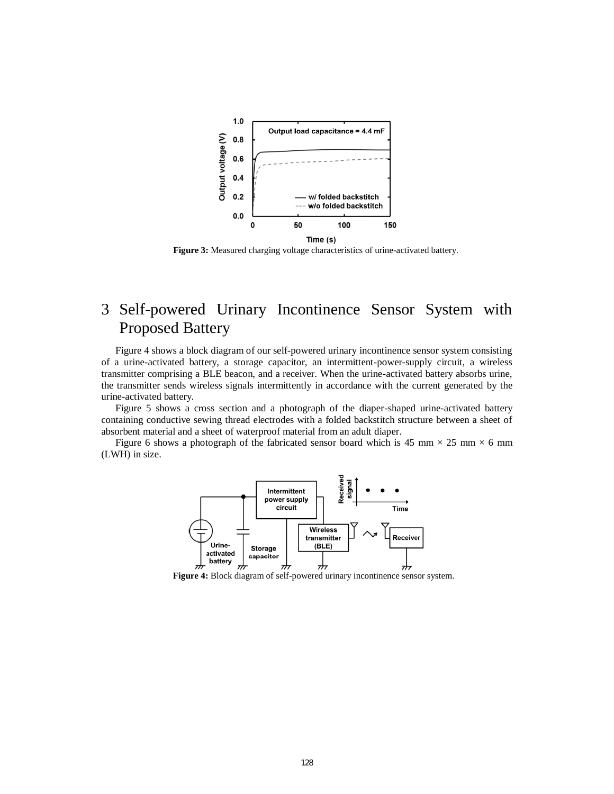

**Figure 3:** Measured charging voltage characteristics of urine-activated battery.

# 3 Self-powered Urinary Incontinence Sensor System with Proposed Battery

Figure 4 shows a block diagram of our self-powered urinary incontinence sensor system consisting of a urine-activated battery, a storage capacitor, an intermittent-power-supply circuit, a wireless transmitter comprising a BLE beacon, and a receiver. When the urine-activated battery absorbs urine, the transmitter sends wireless signals intermittently in accordance with the current generated by the urine-activated battery.

Figure 5 shows a cross section and a photograph of the diaper-shaped urine-activated battery containing conductive sewing thread electrodes with a folded backstitch structure between a sheet of absorbent material and a sheet of waterproof material from an adult diaper.

Figure 6 shows a photograph of the fabricated sensor board which is 45 mm  $\times$  25 mm  $\times$  6 mm (LWH) in size.



**Figure 4:** Block diagram of self-powered urinary incontinence sensor system.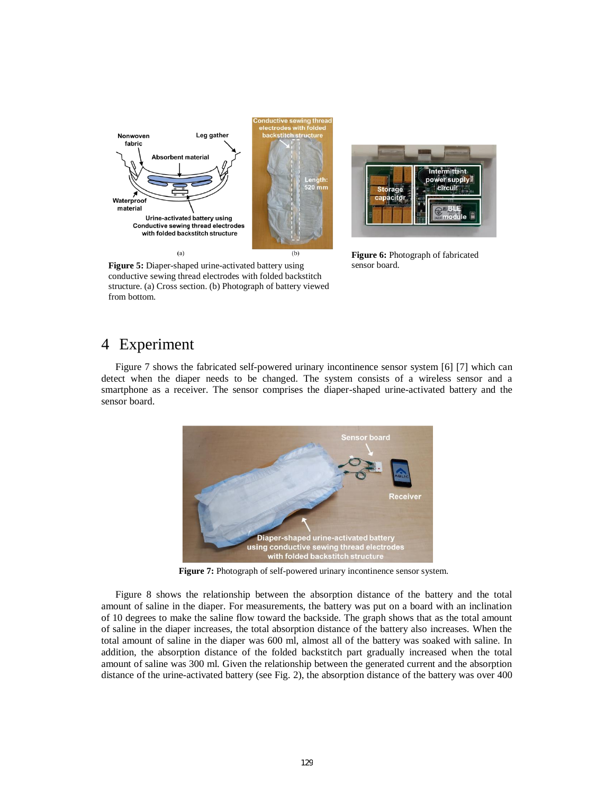



**Figure 6:** Photograph of fabricated sensor board.

**Figure 5:** Diaper-shaped urine-activated battery using conductive sewing thread electrodes with folded backstitch structure. (a) Cross section. (b) Photograph of battery viewed from bottom.

# 4 Experiment

Figure 7 shows the fabricated self-powered urinary incontinence sensor system [6] [7] which can detect when the diaper needs to be changed. The system consists of a wireless sensor and a smartphone as a receiver. The sensor comprises the diaper-shaped urine-activated battery and the sensor board.



**Figure 7:** Photograph of self-powered urinary incontinence sensor system.

Figure 8 shows the relationship between the absorption distance of the battery and the total amount of saline in the diaper. For measurements, the battery was put on a board with an inclination of 10 degrees to make the saline flow toward the backside. The graph shows that as the total amount of saline in the diaper increases, the total absorption distance of the battery also increases. When the total amount of saline in the diaper was 600 ml, almost all of the battery was soaked with saline. In addition, the absorption distance of the folded backstitch part gradually increased when the total amount of saline was 300 ml. Given the relationship between the generated current and the absorption distance of the urine-activated battery (see Fig. 2), the absorption distance of the battery was over 400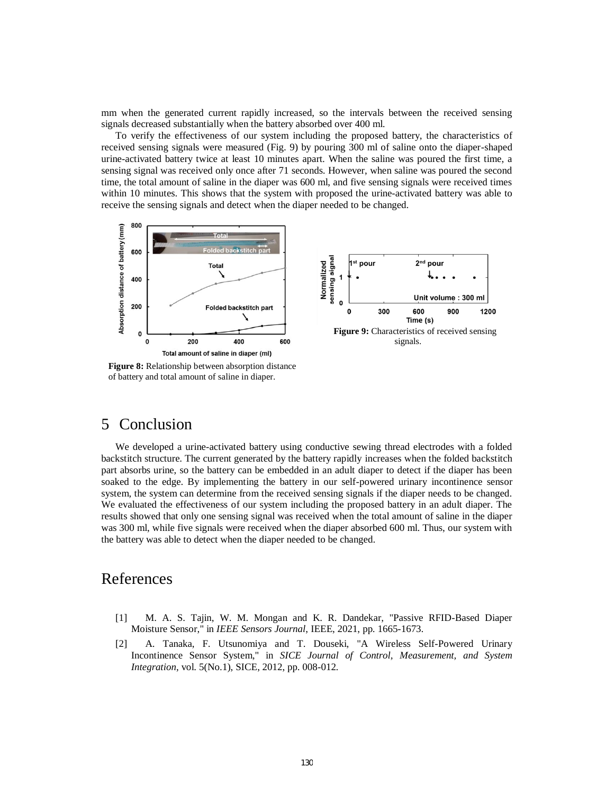mm when the generated current rapidly increased, so the intervals between the received sensing signals decreased substantially when the battery absorbed over 400 ml.

To verify the effectiveness of our system including the proposed battery, the characteristics of received sensing signals were measured (Fig. 9) by pouring 300 ml of saline onto the diaper-shaped urine-activated battery twice at least 10 minutes apart. When the saline was poured the first time, a sensing signal was received only once after 71 seconds. However, when saline was poured the second time, the total amount of saline in the diaper was 600 ml, and five sensing signals were received times within 10 minutes. This shows that the system with proposed the urine-activated battery was able to receive the sensing signals and detect when the diaper needed to be changed.



**Figure 8:** Relationship between absorption distance of battery and total amount of saline in diaper.

## 5 Conclusion

We developed a urine-activated battery using conductive sewing thread electrodes with a folded backstitch structure. The current generated by the battery rapidly increases when the folded backstitch part absorbs urine, so the battery can be embedded in an adult diaper to detect if the diaper has been soaked to the edge. By implementing the battery in our self-powered urinary incontinence sensor system, the system can determine from the received sensing signals if the diaper needs to be changed. We evaluated the effectiveness of our system including the proposed battery in an adult diaper. The results showed that only one sensing signal was received when the total amount of saline in the diaper was 300 ml, while five signals were received when the diaper absorbed 600 ml. Thus, our system with the battery was able to detect when the diaper needed to be changed.

# References

- [1] M. A. S. Tajin, W. M. Mongan and K. R. Dandekar, "Passive RFID-Based Diaper Moisture Sensor," in *IEEE Sensors Journal*, IEEE, 2021, pp. 1665-1673.
- [2] A. Tanaka, F. Utsunomiya and T. Douseki, "A Wireless Self-Powered Urinary Incontinence Sensor System," in *SICE Journal of Control, Measurement, and System Integration*, vol. 5(No.1), SICE, 2012, pp. 008-012.